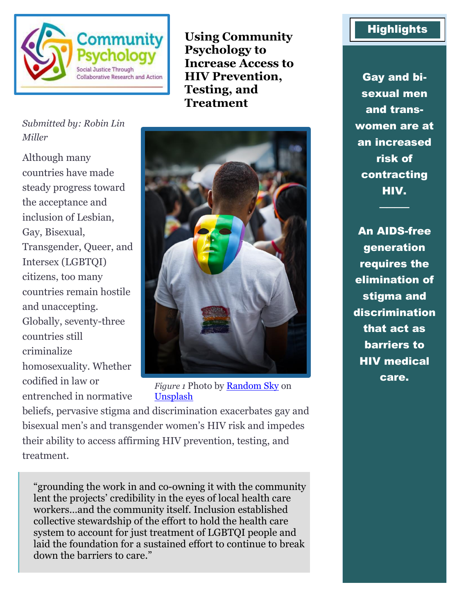

**Using Community Psychology to Increase Access to HIV Prevention, Testing, and Treatment**

### *Submitted by: Robin Lin Miller*

Although many countries have made steady progress toward the acceptance and inclusion of Lesbian, Gay, Bisexual, Transgender, Queer, and Intersex (LGBTQI) citizens, too many countries remain hostile and unaccepting. Globally, seventy-three countries still criminalize homosexuality. Whether codified in law or entrenched in normative



*Figure 1* Photo by [Random Sky](https://unsplash.com/@randomsky?utm_source=unsplash&utm_medium=referral&utm_content=creditCopyText) on [Unsplash](https://unsplash.com/?utm_source=unsplash&utm_medium=referral&utm_content=creditCopyText)

beliefs, pervasive stigma and discrimination exacerbates gay and bisexual men's and transgender women's HIV risk and impedes their ability to access affirming HIV prevention, testing, and treatment.

"grounding the work in and co-owning it with the community lent the projects' credibility in the eyes of local health care workers…and the community itself. Inclusion established collective stewardship of the effort to hold the health care system to account for just treatment of LGBTQI people and laid the foundation for a sustained effort to continue to break down the barriers to care."

## **Highlights**

Gay and bisexual men and transwomen are at an increased risk of contracting HIV.

────

An AIDS-free generation requires the elimination of stigma and discrimination that act as barriers to HIV medical care.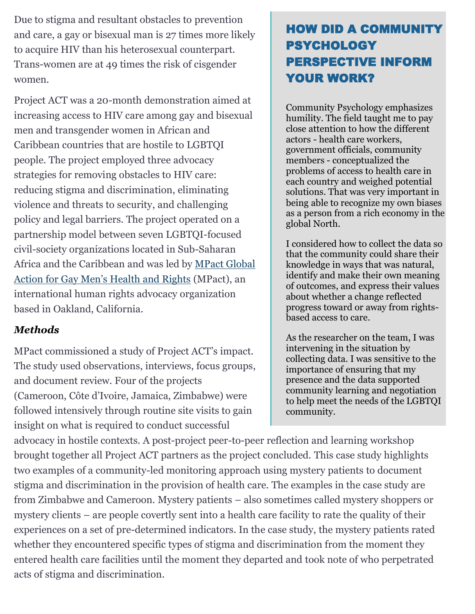Due to stigma and resultant obstacles to prevention and care, a gay or bisexual man is 27 times more likely to acquire HIV than his heterosexual counterpart. Trans-women are at 49 times the risk of cisgender women.

Project ACT was a 20-month demonstration aimed at increasing access to HIV care among gay and bisexual men and transgender women in African and Caribbean countries that are hostile to LGBTQI people. The project employed three advocacy strategies for removing obstacles to HIV care: reducing stigma and discrimination, eliminating violence and threats to security, and challenging policy and legal barriers. The project operated on a partnership model between seven LGBTQI-focused civil-society organizations located in Sub-Saharan Africa and the Caribbean and was led by [MPact Global](https://mpactglobal.org/)  [Action for Gay Men's Health and Rights](https://mpactglobal.org/) (MPact), an international human rights advocacy organization based in Oakland, California.

## *Methods*

MPact commissioned a study of Project ACT's impact. The study used observations, interviews, focus groups, and document review. Four of the projects (Cameroon, Côte d'Ivoire, Jamaica, Zimbabwe) were followed intensively through routine site visits to gain insight on what is required to conduct successful

# HOW DID A COMMUNITY PSYCHOLOGY PERSPECTIVE INFORM YOUR WORK?

Community Psychology emphasizes humility. The field taught me to pay close attention to how the different actors - health care workers, government officials, community members - conceptualized the problems of access to health care in each country and weighed potential solutions. That was very important in being able to recognize my own biases as a person from a rich economy in the global North.

I considered how to collect the data so that the community could share their knowledge in ways that was natural, identify and make their own meaning of outcomes, and express their values about whether a change reflected progress toward or away from rightsbased access to care.

As the researcher on the team, I was intervening in the situation by collecting data. I was sensitive to the importance of ensuring that my presence and the data supported community learning and negotiation to help meet the needs of the LGBTQI community.

advocacy in hostile contexts. A post-project peer-to-peer reflection and learning workshop brought together all Project ACT partners as the project concluded. This case study highlights two examples of a community-led monitoring approach using mystery patients to document stigma and discrimination in the provision of health care. The examples in the case study are from Zimbabwe and Cameroon. Mystery patients – also sometimes called mystery shoppers or mystery clients – are people covertly sent into a health care facility to rate the quality of their experiences on a set of pre-determined indicators. In the case study, the mystery patients rated whether they encountered specific types of stigma and discrimination from the moment they entered health care facilities until the moment they departed and took note of who perpetrated acts of stigma and discrimination.